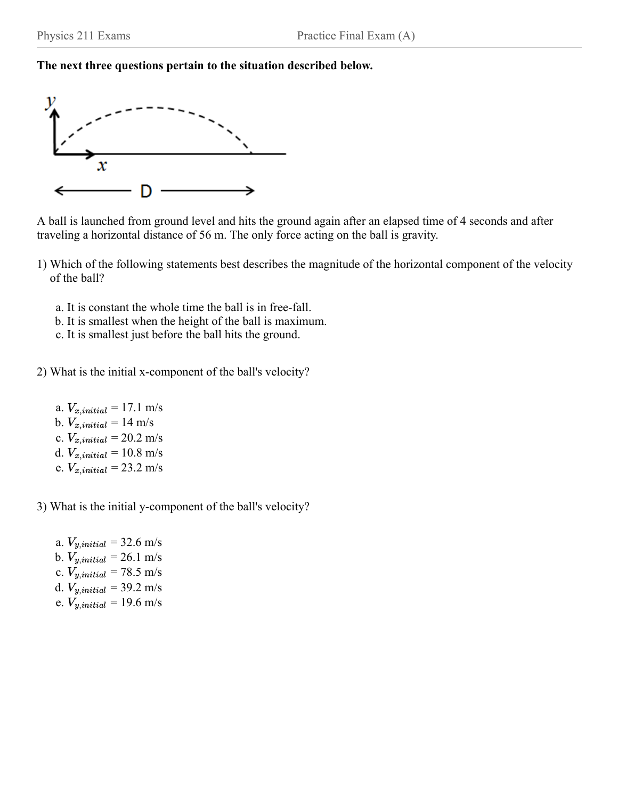

A ball is launched from ground level and hits the ground again after an elapsed time of 4 seconds and after traveling a horizontal distance of 56 m. The only force acting on the ball is gravity.

- 1) Which of the following statements best describes the magnitude of the horizontal component of the velocity of the ball?
	- a. It is constant the whole time the ball is in free-fall.
	- b. It is smallest when the height of the ball is maximum.
	- c. It is smallest just before the ball hits the ground.
- 2) What is the initial x-component of the ball's velocity?
	- a.  $V_{x,initial} = 17.1 \text{ m/s}$ b.  $V_{x,initial} = 14 \text{ m/s}$ c.  $V_{x,initial} = 20.2 \text{ m/s}$ d.  $V_{x,initial} = 10.8 \text{ m/s}$ e.  $V_{x,initial} = 23.2 \text{ m/s}$
- 3) What is the initial y-component of the ball's velocity?
	- a.  $V_{y,initial} = 32.6 \text{ m/s}$ b.  $V_{y,initial} = 26.1 \text{ m/s}$ c.  $V_{y,initial} = 78.5 \text{ m/s}$ d.  $V_{y,initial} = 39.2 \text{ m/s}$ e.  $V_{y,initial} = 19.6 \text{ m/s}$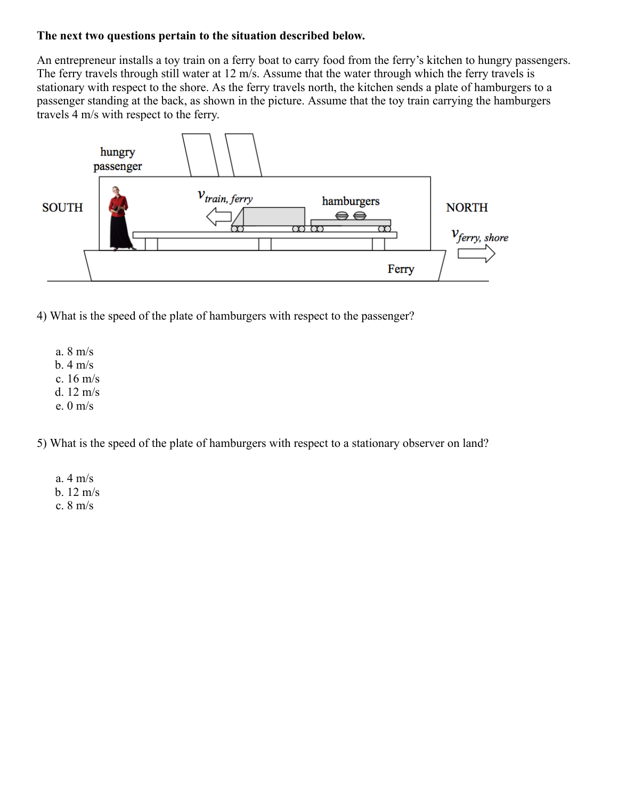An entrepreneur installs a toy train on a ferry boat to carry food from the ferry's kitchen to hungry passengers. The ferry travels through still water at 12 m/s. Assume that the water through which the ferry travels is stationary with respect to the shore. As the ferry travels north, the kitchen sends a plate of hamburgers to a passenger standing at the back, as shown in the picture. Assume that the toy train carrying the hamburgers travels 4 m/s with respect to the ferry.



4) What is the speed of the plate of hamburgers with respect to the passenger?

a. 8 m/s b.  $4 \text{ m/s}$ c. 16 m/s d. 12 m/s e. 0 m/s

5) What is the speed of the plate of hamburgers with respect to a stationary observer on land?

a. 4 m/s b. 12 m/s c. 8 m/s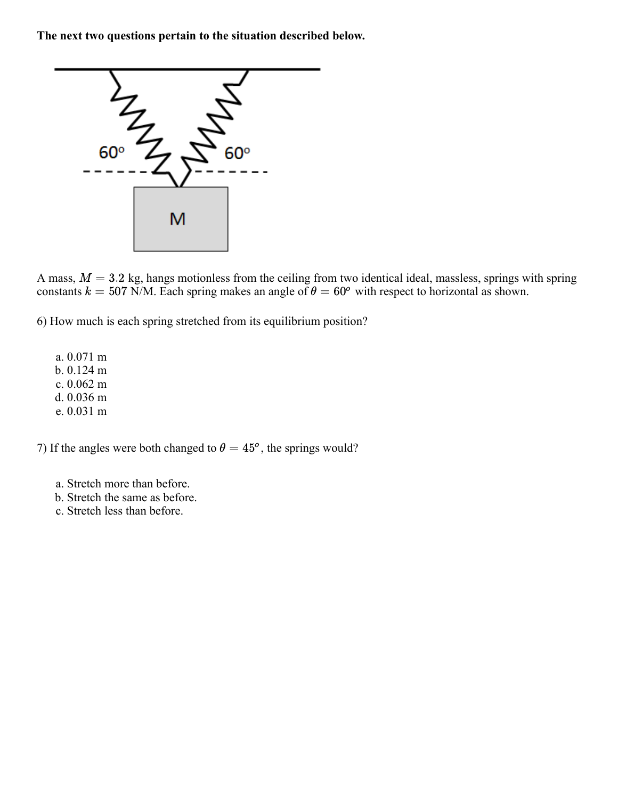

A mass,  $M = 3.2$  kg, hangs motionless from the ceiling from two identical ideal, massless, springs with spring constants  $k = 507$  N/M. Each spring makes an angle of  $\theta = 60^{\circ}$  with respect to horizontal as shown.

6) How much is each spring stretched from its equilibrium position?

a. 0.071 m b. 0.124 m c. 0.062 m d. 0.036 m e. 0.031 m

7) If the angles were both changed to  $\theta = 45^{\circ}$ , the springs would?

- a. Stretch more than before.
- b. Stretch the same as before.
- c. Stretch less than before.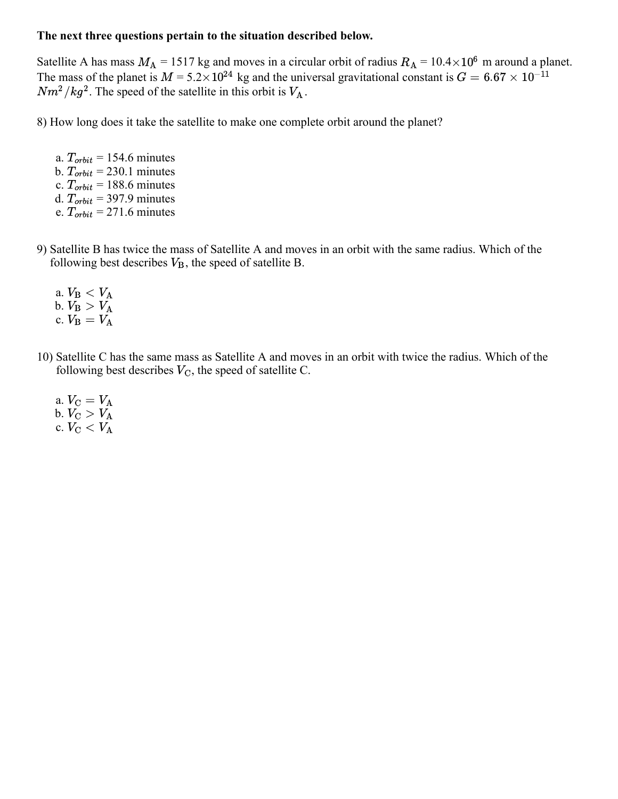Satellite A has mass  $M_A = 1517$  kg and moves in a circular orbit of radius  $R_A = 10.4 \times 10^6$  m around a planet. The mass of the planet is  $M = 5.2 \times 10^{24}$  kg and the universal gravitational constant is  $G = 6.67 \times 10^{-11}$  $Nm^2/kg^2$ . The speed of the satellite in this orbit is  $V_A$ .

8) How long does it take the satellite to make one complete orbit around the planet?

a.  $T_{orbit} = 154.6$  minutes b.  $T_{orbit} = 230.1$  minutes c.  $T_{orbit}$  = 188.6 minutes d.  $T_{orbit}$  = 397.9 minutes e.  $T_{orbit}$  = 271.6 minutes

9) Satellite B has twice the mass of Satellite A and moves in an orbit with the same radius. Which of the following best describes  $V_{\text{B}}$ , the speed of satellite B.

- a.  $V_{\text{B}} < V_{\text{A}}$ b.  $V_{\rm B} > V_{\rm A}^{1}$ c.  $V_{\rm B} = V_{\rm A}^{T}$
- 10) Satellite C has the same mass as Satellite A and moves in an orbit with twice the radius. Which of the following best describes  $V_C$ , the speed of satellite C.
	- a.  $V_{\rm C} = V_{\rm A}$ b.  $V_{\rm C} > V_{\rm A}$ c.  $\stackrel{\sim}{V_{\rm C}}$   $<$   $\stackrel{\sim}{V_{\rm A}}$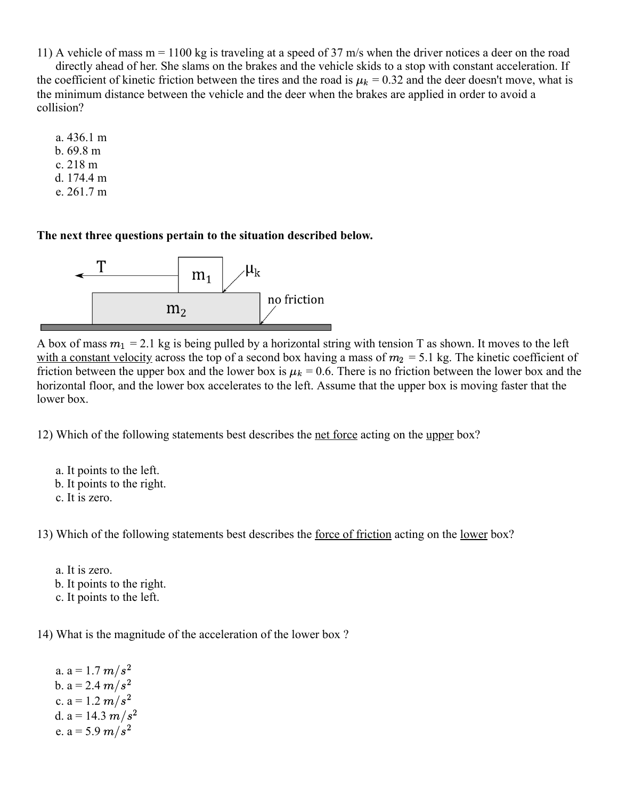11) A vehicle of mass m = 1100 kg is traveling at a speed of 37 m/s when the driver notices a deer on the road

directly ahead of her. She slams on the brakes and the vehicle skids to a stop with constant acceleration. If the coefficient of kinetic friction between the tires and the road is  $\mu_k = 0.32$  and the deer doesn't move, what is the minimum distance between the vehicle and the deer when the brakes are applied in order to avoid a collision?

a. 436.1 m b. 69.8 m c. 218 m d. 174.4 m e. 261.7 m

**The next three questions pertain to the situation described below.**



A box of mass  $m_1 = 2.1$  kg is being pulled by a horizontal string with tension T as shown. It moves to the left with a constant velocity across the top of a second box having a mass of  $m_2 = 5.1$  kg. The kinetic coefficient of friction between the upper box and the lower box is  $\mu_k = 0.6$ . There is no friction between the lower box and the horizontal floor, and the lower box accelerates to the left. Assume that the upper box is moving faster that the lower box.

12) Which of the following statements best describes the net force acting on the upper box?

a. It points to the left. b. It points to the right. c. It is zero.

13) Which of the following statements best describes the <u>force of friction</u> acting on the <u>lower</u> box?

a. It is zero. b. It points to the right. c. It points to the left.

14) What is the magnitude of the acceleration of the lower box ?

a. a = 1.7  $m/s^2$ b. a = 2.4  $m/s^2$ c. a = 1.2  $m/s^2$ d. a = 14.3  $m/s^2$ e. a = 5.9  $m/s^2$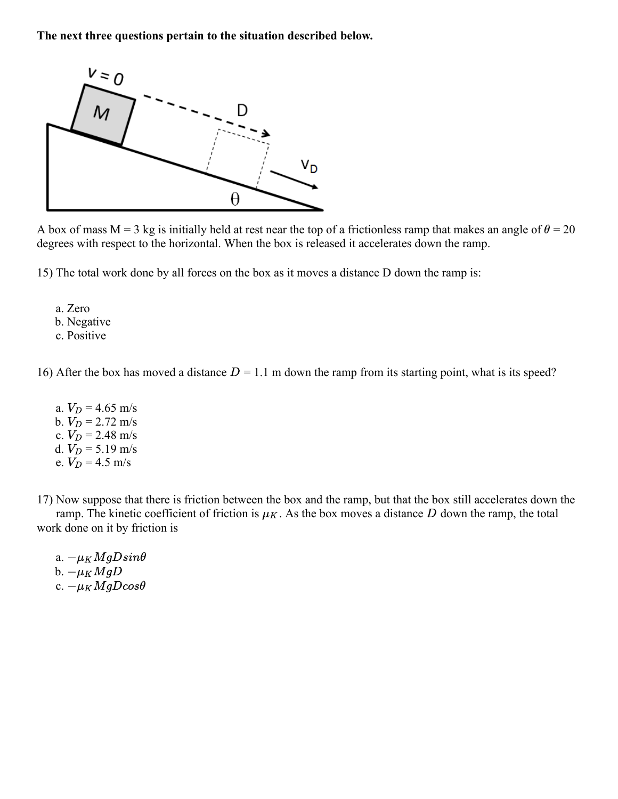

A box of mass  $M = 3$  kg is initially held at rest near the top of a frictionless ramp that makes an angle of  $\theta = 20$ degrees with respect to the horizontal. When the box is released it accelerates down the ramp.

15) The total work done by all forces on the box as it moves a distance D down the ramp is:

a. Zero b. Negative c. Positive

16) After the box has moved a distance  $D = 1.1$  m down the ramp from its starting point, what is its speed?

a.  $V_D = 4.65$  m/s b.  $V_D = 2.72 \text{ m/s}$ c.  $V_D = 2.48 \text{ m/s}$ d.  $V_D = 5.19 \text{ m/s}$ e.  $V_D = 4.5$  m/s

17) Now suppose that there is friction between the box and the ramp, but that the box still accelerates down the ramp. The kinetic coefficient of friction is  $\mu_K$ . As the box moves a distance D down the ramp, the total work done on it by friction is

a.  $-\mu_K MgDsin\theta$ b.  $-\mu_K M g D$ c.  $-\mu_K M gD cos\theta$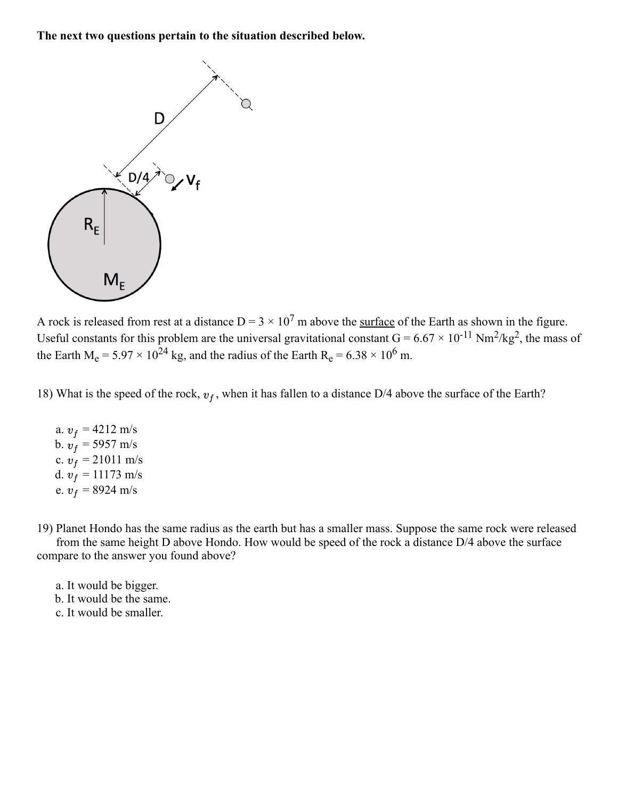

A rock is released from rest at a distance  $D = 3 \times 10^7$  m above the surface of the Earth as shown in the figure. Useful constants for this problem are the universal gravitational constant  $G = 6.67 \times 10^{-11}$  Nm<sup>2</sup>/kg<sup>2</sup>, the mass of the Earth  $M_e = 5.97 \times 10^{24}$  kg, and the radius of the Earth  $R_e = 6.38 \times 10^6$  m.

18) What is the speed of the rock,  $v_f$ , when it has fallen to a distance D/4 above the surface of the Earth?

a.  $v_f = 4212 \text{ m/s}$ b.  $v_f = 5957 \text{ m/s}$ c.  $v_f = 21011 \text{ m/s}$ d.  $v_f = 11173$  m/s e.  $v_f = 8924 \text{ m/s}$ 

19) Planet Hondo has the same radius as the earth but has a smaller mass. Suppose the same rock were released from the same height D above Hondo. How would be speed of the rock a distance D/4 above the surface compare to the answer you found above?

- a. It would be bigger. b. It would be the same.
- c. It would be smaller.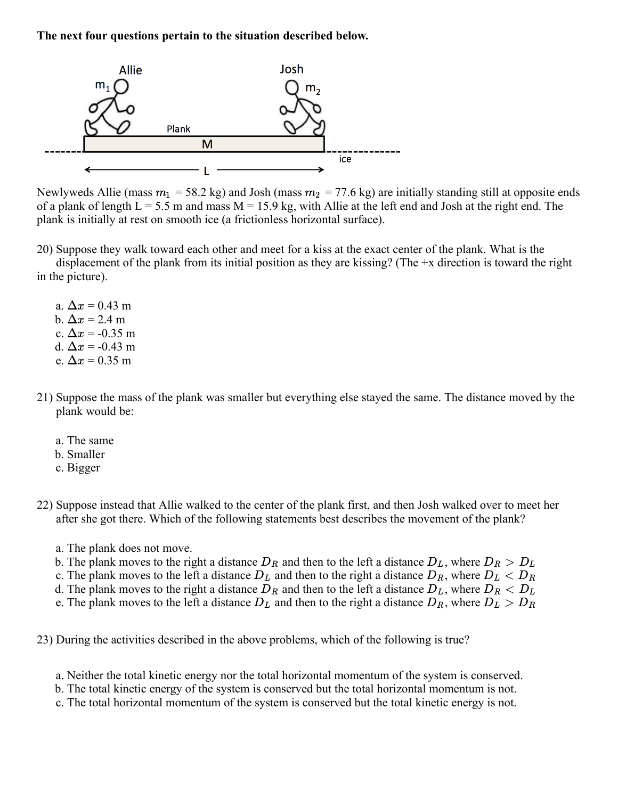

Newlyweds Allie (mass  $m_1 = 58.2$  kg) and Josh (mass  $m_2 = 77.6$  kg) are initially standing still at opposite ends of a plank of length  $L = 5.5$  m and mass  $M = 15.9$  kg, with Allie at the left end and Josh at the right end. The plank is initially at rest on smooth ice (a frictionless horizontal surface).

20) Suppose they walk toward each other and meet for a kiss at the exact center of the plank. What is the

displacement of the plank from its initial position as they are kissing? (The +x direction is toward the right in the picture).

- a.  $\Delta x = 0.43$  m b.  $\Delta x = 2.4$  m c.  $\Delta x = -0.35$  m d.  $\Delta x = -0.43$  m e.  $\Delta x = 0.35$  m
- 21) Suppose the mass of the plank was smaller but everything else stayed the same. The distance moved by the plank would be:
	- a. The same
	- b. Smaller
	- c. Bigger
- 22) Suppose instead that Allie walked to the center of the plank first, and then Josh walked over to meet her after she got there. Which of the following statements best describes the movement of the plank?
	- a. The plank does not move.
	- b. The plank moves to the right a distance  $D_R$  and then to the left a distance  $D_L$ , where  $D_R > D_L$
	- c. The plank moves to the left a distance  $D<sub>L</sub>$  and then to the right a distance  $D<sub>R</sub>$ , where  $D<sub>L</sub>$  <  $D<sub>R</sub>$
	- d. The plank moves to the right a distance  $\overline{D}_R$  and then to the left a distance  $\overline{D}_L$ , where  $\overline{D}_R < \overline{D}_L$
	- e. The plank moves to the left a distance  $D<sub>L</sub>$  and then to the right a distance  $D<sub>R</sub>$ , where  $D<sub>L</sub> > D<sub>R</sub>$

23) During the activities described in the above problems, which of the following is true?

- a. Neither the total kinetic energy nor the total horizontal momentum of the system is conserved.
- b. The total kinetic energy of the system is conserved but the total horizontal momentum is not.
- c. The total horizontal momentum of the system is conserved but the total kinetic energy is not.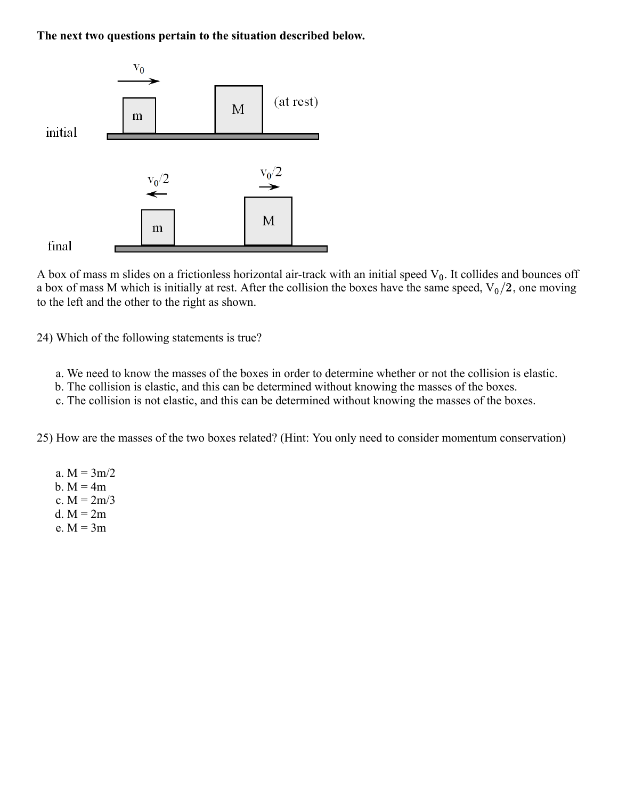

A box of mass m slides on a frictionless horizontal air-track with an initial speed  $V_0$ . It collides and bounces off a box of mass M which is initially at rest. After the collision the boxes have the same speed,  $V_0/2$ , one moving to the left and the other to the right as shown.

24) Which of the following statements is true?

- a. We need to know the masses of the boxes in order to determine whether or not the collision is elastic.
- b. The collision is elastic, and this can be determined without knowing the masses of the boxes.
- c. The collision is not elastic, and this can be determined without knowing the masses of the boxes.

25) How are the masses of the two boxes related? (Hint: You only need to consider momentum conservation)

a.  $M = 3m/2$ b.  $M = 4m$ c.  $M = 2m/3$ d.  $M = 2m$ e.  $M = 3m$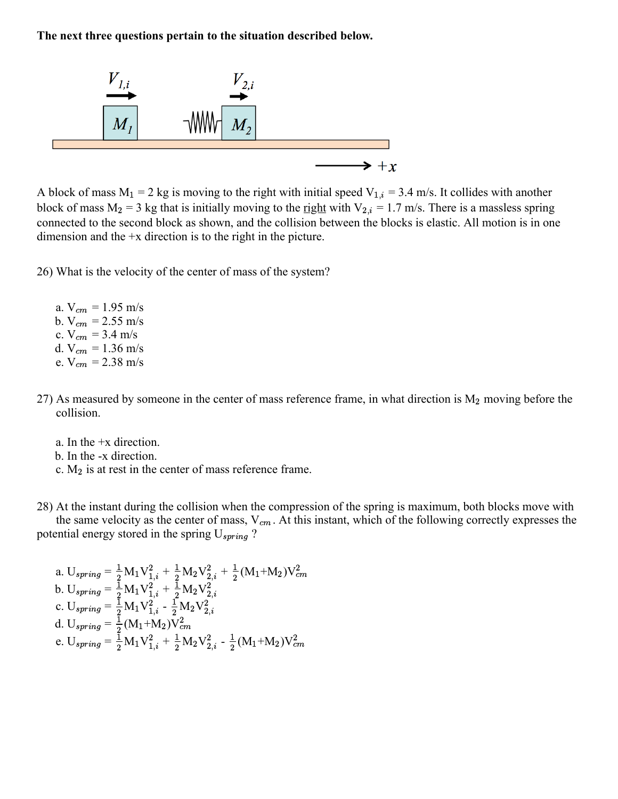

A block of mass  $M_1 = 2$  kg is moving to the right with initial speed  $V_{1,i} = 3.4$  m/s. It collides with another block of mass  $M_2 = 3$  kg that is initially moving to the <u>right</u> with  $V_{2,i} = 1.7$  m/s. There is a massless spring connected to the second block as shown, and the collision between the blocks is elastic. All motion is in one dimension and the +x direction is to the right in the picture.

26) What is the velocity of the center of mass of the system?

- a.  $V_{cm} = 1.95$  m/s b.  $V_{cm} = 2.55$  m/s c.  $V_{cm} = 3.4 \text{ m/s}$ d. V<sub>cm</sub> = 1.36 m/s e.  $V_{cm} = 2.38$  m/s
- 27) As measured by someone in the center of mass reference frame, in what direction is  $M_2$  moving before the collision.
	- a. In the +x direction.
	- b. In the -x direction.
	- c.  $M_2$  is at rest in the center of mass reference frame.

28) At the instant during the collision when the compression of the spring is maximum, both blocks move with the same velocity as the center of mass,  $V_{cm}$ . At this instant, which of the following correctly expresses the potential energy stored in the spring  $U_{spring}$ ?

a. 
$$
U_{spring} = \frac{1}{2} M_1 V_{1,i}^2 + \frac{1}{2} M_2 V_{2,i}^2 + \frac{1}{2} (M_1 + M_2) V_{cm}^2
$$
  
\nb.  $U_{spring} = \frac{1}{2} M_1 V_{1,i}^2 + \frac{1}{2} M_2 V_{2,i}^2$   
\nc.  $U_{spring} = \frac{1}{2} M_1 V_{1,i}^2 - \frac{1}{2} M_2 V_{2,i}^2$   
\nd.  $U_{spring} = \frac{1}{2} (M_1 + M_2) V_{cm}^2$   
\ne.  $U_{spring} = \frac{1}{2} M_1 V_{1,i}^2 + \frac{1}{2} M_2 V_{2,i}^2 - \frac{1}{2} (M_1 + M_2) V_{cm}^2$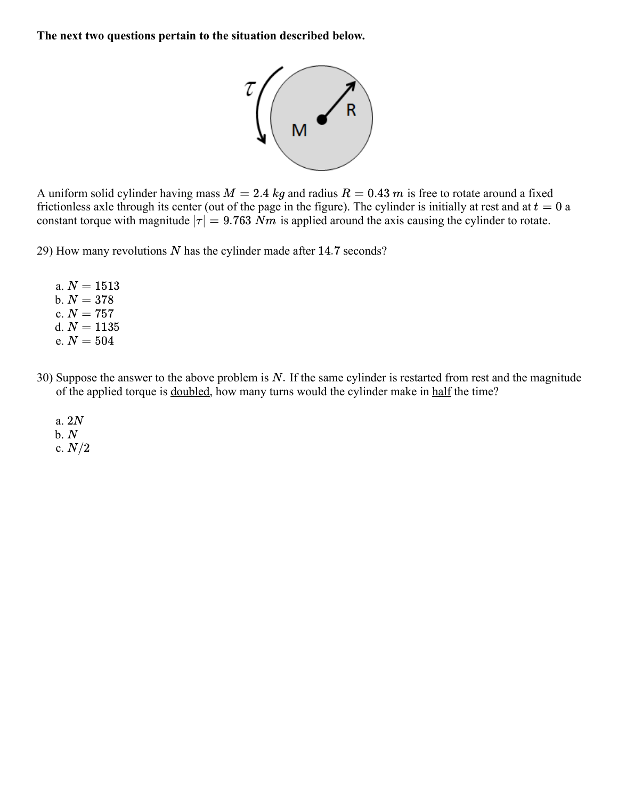

A uniform solid cylinder having mass  $M = 2.4$  kg and radius  $R = 0.43$  m is free to rotate around a fixed frictionless axle through its center (out of the page in the figure). The cylinder is initially at rest and at  $t = 0$  a constant torque with magnitude  $|\tau| = 9.763 \ \text{Nm}$  is applied around the axis causing the cylinder to rotate.

29) How many revolutions  $N$  has the cylinder made after 14.7 seconds?

- a.  $N = 1513$ b.  $N = 378$ c.  $N = 757$ d.  $N = 1135$ e.  $N = 504$
- 30) Suppose the answer to the above problem is  $N$ . If the same cylinder is restarted from rest and the magnitude of the applied torque is doubled, how many turns would the cylinder make in half the time?
	- a. 2N  $b. N$ c.  $N/2$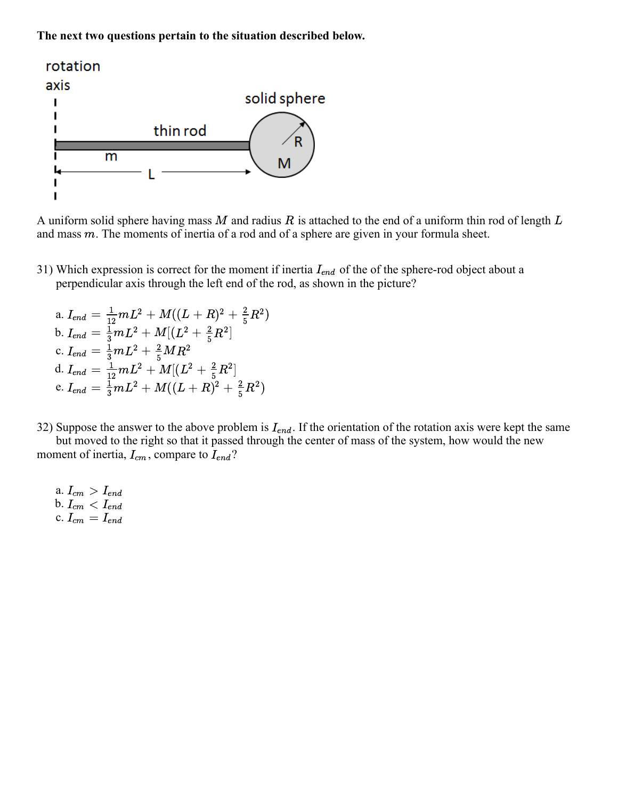

A uniform solid sphere having mass  $M$  and radius  $R$  is attached to the end of a uniform thin rod of length  $L$ and mass  $m$ . The moments of inertia of a rod and of a sphere are given in your formula sheet.

31) Which expression is correct for the moment if inertia  $I_{end}$  of the of the sphere-rod object about a perpendicular axis through the left end of the rod, as shown in the picture?

a. 
$$
I_{end} = \frac{1}{12}mL^2 + M((L+R)^2 + \frac{2}{5}R^2)
$$
  
\nb.  $I_{end} = \frac{1}{3}mL^2 + M[(L^2 + \frac{2}{5}R^2]$   
\nc.  $I_{end} = \frac{1}{3}mL^2 + \frac{2}{5}MR^2$   
\nd.  $I_{end} = \frac{1}{12}mL^2 + M[(L^2 + \frac{2}{5}R^2]$   
\ne.  $I_{end} = \frac{1}{3}mL^2 + M((L+R)^2 + \frac{2}{5}R^2)$ 

32) Suppose the answer to the above problem is  $I_{end}$ . If the orientation of the rotation axis were kept the same

but moved to the right so that it passed through the center of mass of the system, how would the new moment of inertia,  $I_{cm}$ , compare to  $I_{end}$ ?

a.  $I_{cm} > I_{end}$ b.  $\mathbf{c}$ .  $I_{cm} \, < \, I_{end}$  $I_{cm}\,=\,I_{end}$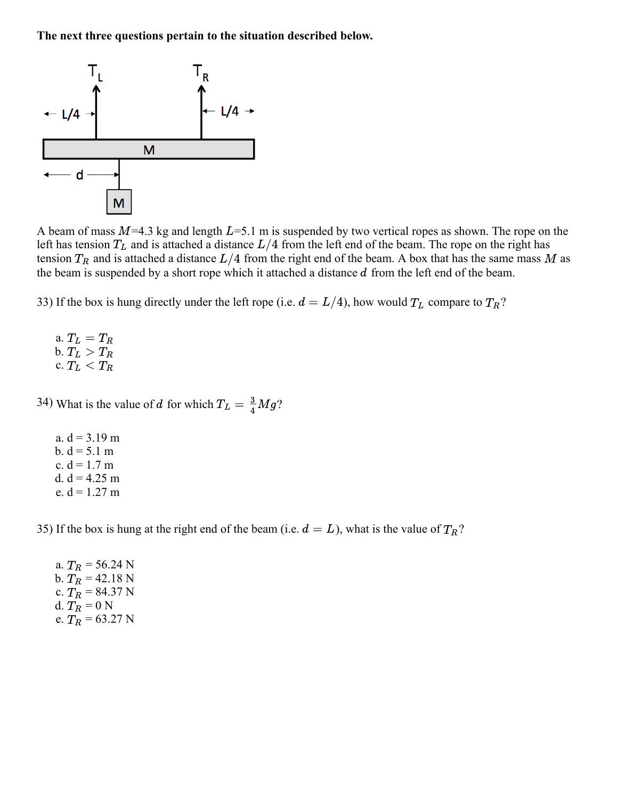

A beam of mass  $M=4.3$  kg and length  $L=5.1$  m is suspended by two vertical ropes as shown. The rope on the left has tension  $T_L$  and is attached a distance  $L/4$  from the left end of the beam. The rope on the right has tension  $T_R$  and is attached a distance  $L/4$  from the right end of the beam. A box that has the same mass M as the beam is suspended by a short rope which it attached a distance  $d$  from the left end of the beam.

33) If the box is hung directly under the left rope (i.e.  $d = L/4$ ), how would  $T_L$  compare to  $T_R$ ?

a.  $T_L = T_R$ b.  $T_L > T_R$ c.  $T_L < T_R$ 

34) What is the value of d for which  $T_L = \frac{3}{4}Mg$ ?

a.  $d = 3.19$  m b.  $d = 5.1$  m c.  $d = 1.7$  m d.  $d = 4.25$  m e.  $d = 1.27$  m

35) If the box is hung at the right end of the beam (i.e.  $d = L$ ), what is the value of  $T_R$ ?

a.  $T_R = 56.24$  N b.  $T_R = 42.18$  N c.  $T_R = 84.37$  N d.  $T_R = 0$  N e.  $T_R = 63.27$  N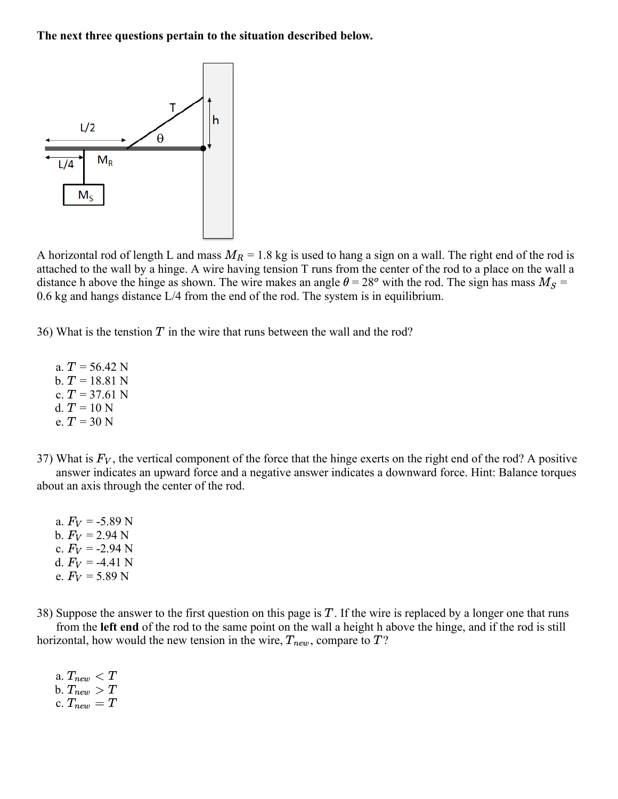

A horizontal rod of length L and mass  $M_R = 1.8$  kg is used to hang a sign on a wall. The right end of the rod is attached to the wall by a hinge. A wire having tension T runs from the center of the rod to a place on the wall a distance h above the hinge as shown. The wire makes an angle  $\theta = 28^{\circ}$  with the rod. The sign has mass  $M_S =$ 0.6 kg and hangs distance L/4 from the end of the rod. The system is in equilibrium.

36) What is the tenstion  $T$  in the wire that runs between the wall and the rod?

a.  $T = 56.42$  N b.  $T = 18.81$  N c.  $T = 37.61$  N d.  $T = 10 N$ e.  $T = 30$  N

37) What is  $F_V$ , the vertical component of the force that the hinge exerts on the right end of the rod? A positive answer indicates an upward force and a negative answer indicates a downward force. Hint: Balance torques about an axis through the center of the rod.

a.  $F_V = -5.89$  N b.  $F_V = 2.94$  N c.  $F_V = -2.94$  N d.  $F_V = -4.41$  N e.  $F_V = 5.89$  N

38) Suppose the answer to the first question on this page is  $T$ . If the wire is replaced by a longer one that runs

from the **left end** of the rod to the same point on the wall a height h above the hinge, and if the rod is still horizontal, how would the new tension in the wire,  $T_{new}$ , compare to  $T$ ?

a.  $T_{new} < T$ b.  $T_{new} > T$ c.  $T_{new} = T$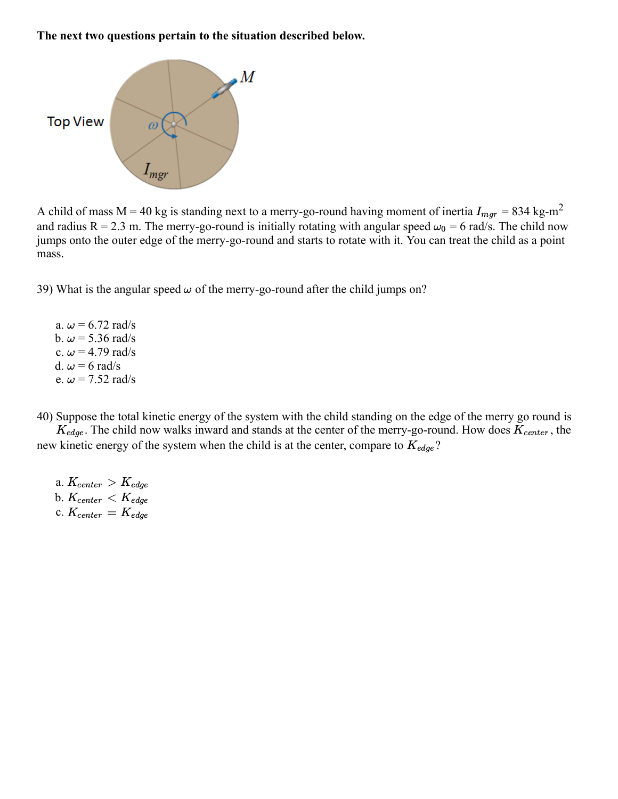

A child of mass M = 40 kg is standing next to a merry-go-round having moment of inertia  $I_{mgr}$  = 834 kg-m<sup>2</sup> and radius R = 2.3 m. The merry-go-round is initially rotating with angular speed  $\omega_0 = 6$  rad/s. The child now jumps onto the outer edge of the merry-go-round and starts to rotate with it. You can treat the child as a point mass.

39) What is the angular speed  $\omega$  of the merry-go-round after the child jumps on?

a.  $\omega$  = 6.72 rad/s b.  $\omega$  = 5.36 rad/s c.  $\omega$  = 4.79 rad/s d.  $\omega = 6$  rad/s e.  $\omega$  = 7.52 rad/s

40) Suppose the total kinetic energy of the system with the child standing on the edge of the merry go round is

 $K_{edge}$ . The child now walks inward and stands at the center of the merry-go-round. How does  $K_{center}$ , the new kinetic energy of the system when the child is at the center, compare to  $K_{edge}$ ?

a.  $K_{center} > K_{edge}$ b.  $K_{center} < K_{edge}$ c.  $K_{center} = K_{edge}$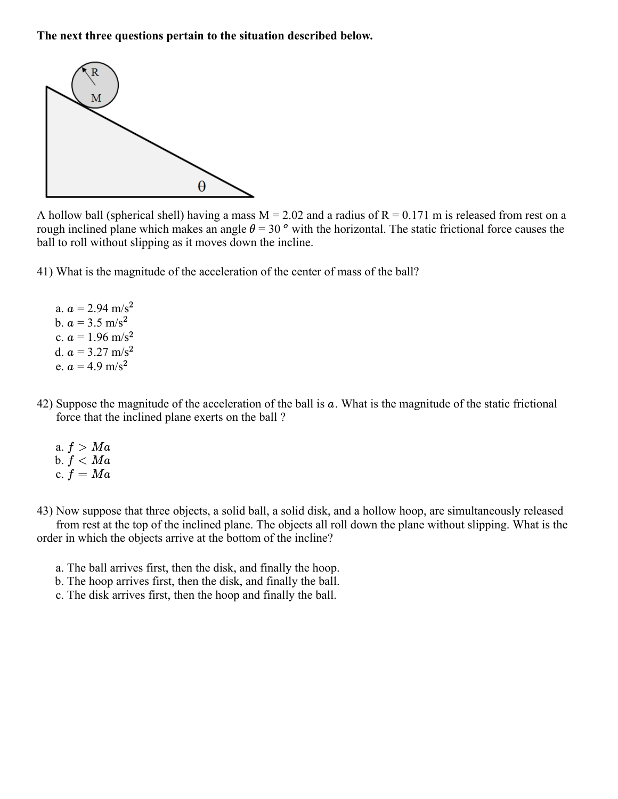

A hollow ball (spherical shell) having a mass  $M = 2.02$  and a radius of  $R = 0.171$  m is released from rest on a rough inclined plane which makes an angle  $\theta = 30$  ° with the horizontal. The static frictional force causes the ball to roll without slipping as it moves down the incline.

41) What is the magnitude of the acceleration of the center of mass of the ball?

a.  $a = 2.94 \text{ m/s}^2$ b.  $a = 3.5 \text{ m/s}^2$ c.  $a = 1.96$  m/s<sup>2</sup> d.  $a = 3.27$  m/s<sup>2</sup> e.  $a = 4.9$  m/s<sup>2</sup>

- 42) Suppose the magnitude of the acceleration of the ball is  $a$ . What is the magnitude of the static frictional force that the inclined plane exerts on the ball ?
	- a.  $f > Ma$ b.  $\overset{\centerdot}{f} < Ma$ c.  $\overset{\bullet}{f}=Ma$

43) Now suppose that three objects, a solid ball, a solid disk, and a hollow hoop, are simultaneously released from rest at the top of the inclined plane. The objects all roll down the plane without slipping. What is the order in which the objects arrive at the bottom of the incline?

- a. The ball arrives first, then the disk, and finally the hoop.
- b. The hoop arrives first, then the disk, and finally the ball.
- c. The disk arrives first, then the hoop and finally the ball.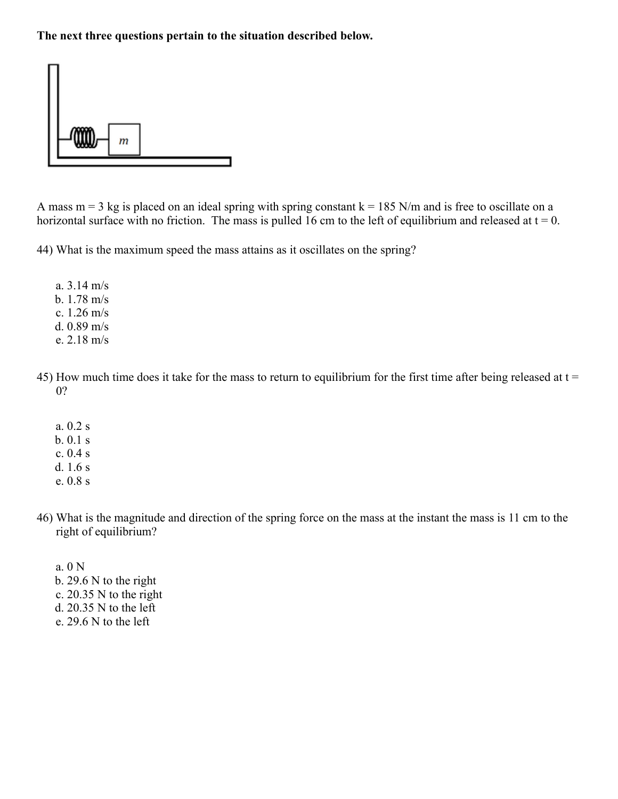

A mass  $m = 3$  kg is placed on an ideal spring with spring constant  $k = 185$  N/m and is free to oscillate on a horizontal surface with no friction. The mass is pulled 16 cm to the left of equilibrium and released at  $t = 0$ .

44) What is the maximum speed the mass attains as it oscillates on the spring?

a. 3.14 m/s b. 1.78 m/s c. 1.26 m/s d. 0.89 m/s e. 2.18 m/s

- 45) How much time does it take for the mass to return to equilibrium for the first time after being released at t = 0?
	- a. 0.2 s b. 0.1 s c. 0.4 s d. 1.6 s e. 0.8 s
- 46) What is the magnitude and direction of the spring force on the mass at the instant the mass is 11 cm to the right of equilibrium?
	- a. 0 N b. 29.6 N to the right c. 20.35 N to the right d. 20.35 N to the left e. 29.6 N to the left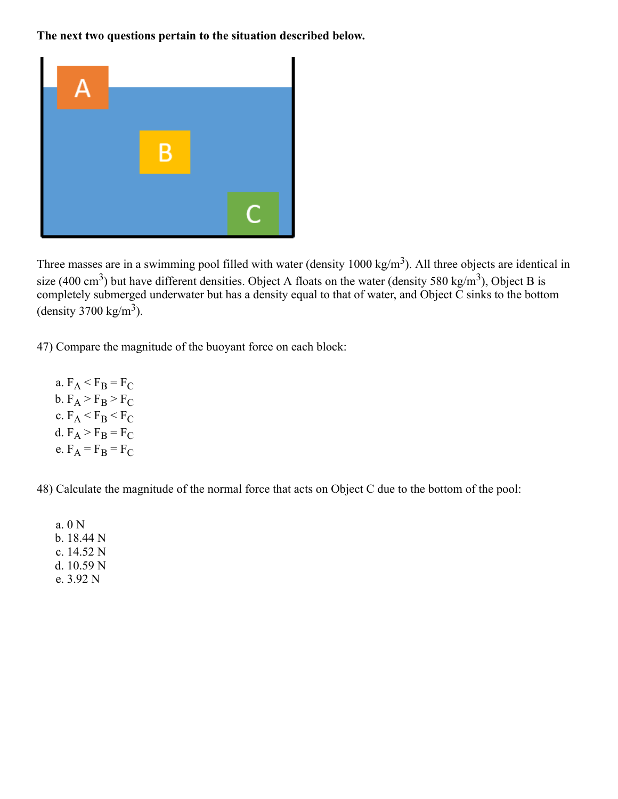

Three masses are in a swimming pool filled with water (density  $1000 \text{ kg/m}^3$ ). All three objects are identical in size (400 cm<sup>3</sup>) but have different densities. Object A floats on the water (density 580 kg/m<sup>3</sup>), Object B is completely submerged underwater but has a density equal to that of water, and Object C sinks to the bottom (density 3700 kg/m<sup>3</sup>).

47) Compare the magnitude of the buoyant force on each block:

a.  $F_A < F_B = F_C$ b.  $F_A > F_B > F_C$ c.  $F_A < F_B < F_C$ d.  $F_A > F_B = F_C$ e.  $F_A = F_B = F_C$ 

48) Calculate the magnitude of the normal force that acts on Object C due to the bottom of the pool:

a. 0 N b. 18.44 N c. 14.52 N d. 10.59 N e. 3.92 N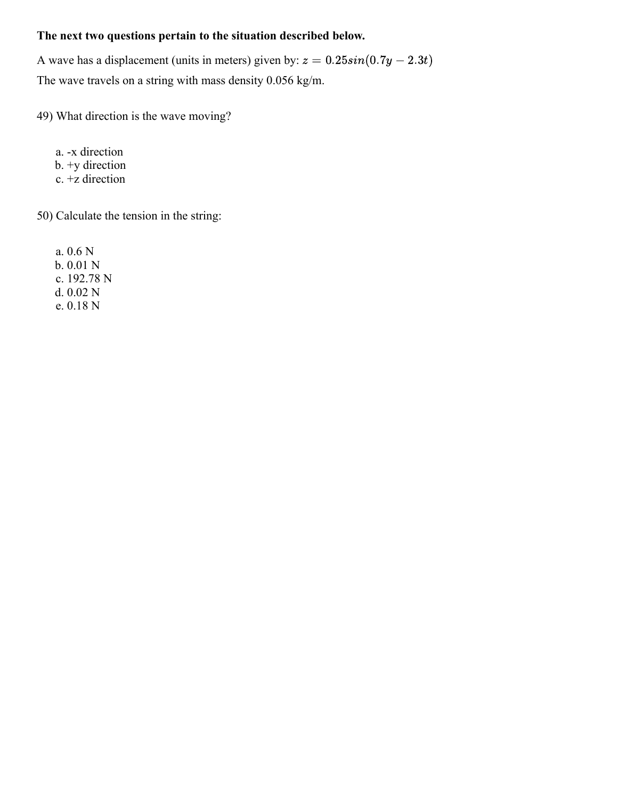A wave has a displacement (units in meters) given by:  $z = 0.25sin(0.7y - 2.3t)$ The wave travels on a string with mass density 0.056 kg/m.

49) What direction is the wave moving?

a. -x direction b. +y direction c. +z direction

50) Calculate the tension in the string:

a. 0.6 N b. 0.01 N c. 192.78 N d. 0.02 N e. 0.18 N